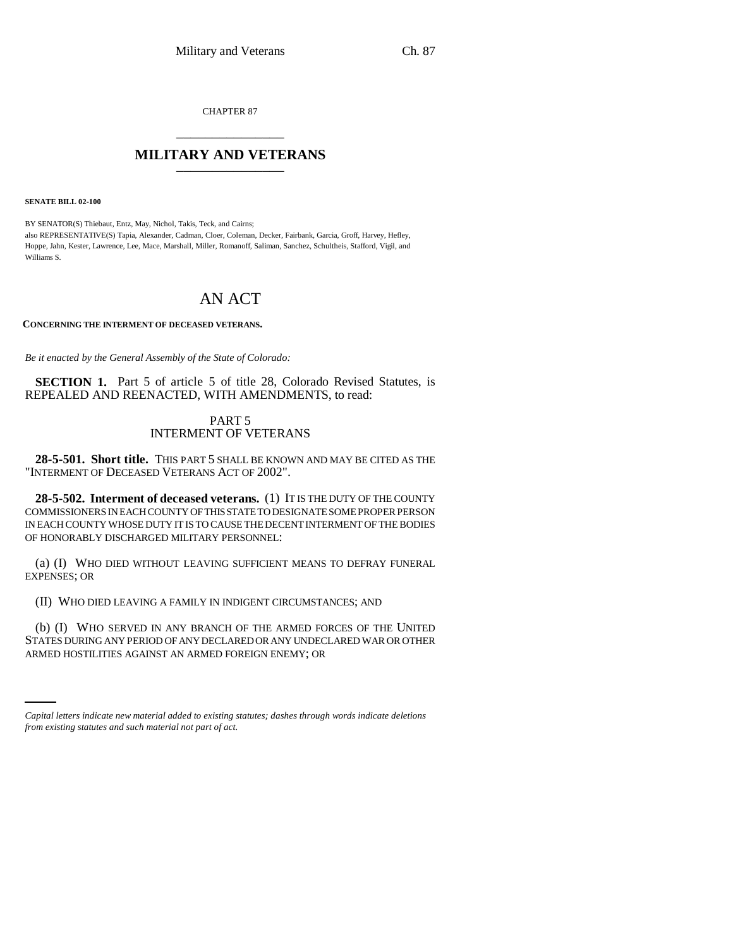CHAPTER 87 \_\_\_\_\_\_\_\_\_\_\_\_\_\_\_

## **MILITARY AND VETERANS** \_\_\_\_\_\_\_\_\_\_\_\_\_\_\_

**SENATE BILL 02-100**

BY SENATOR(S) Thiebaut, Entz, May, Nichol, Takis, Teck, and Cairns; also REPRESENTATIVE(S) Tapia, Alexander, Cadman, Cloer, Coleman, Decker, Fairbank, Garcia, Groff, Harvey, Hefley, Hoppe, Jahn, Kester, Lawrence, Lee, Mace, Marshall, Miller, Romanoff, Saliman, Sanchez, Schultheis, Stafford, Vigil, and Williams S.

## AN ACT

**CONCERNING THE INTERMENT OF DECEASED VETERANS.**

*Be it enacted by the General Assembly of the State of Colorado:*

**SECTION 1.** Part 5 of article 5 of title 28, Colorado Revised Statutes, is REPEALED AND REENACTED, WITH AMENDMENTS, to read:

## PART 5 INTERMENT OF VETERANS

**28-5-501. Short title.** THIS PART 5 SHALL BE KNOWN AND MAY BE CITED AS THE "INTERMENT OF DECEASED VETERANS ACT OF 2002".

**28-5-502. Interment of deceased veterans.** (1) IT IS THE DUTY OF THE COUNTY COMMISSIONERS IN EACH COUNTY OF THIS STATE TO DESIGNATE SOME PROPER PERSON IN EACH COUNTY WHOSE DUTY IT IS TO CAUSE THE DECENT INTERMENT OF THE BODIES OF HONORABLY DISCHARGED MILITARY PERSONNEL:

(a) (I) WHO DIED WITHOUT LEAVING SUFFICIENT MEANS TO DEFRAY FUNERAL EXPENSES; OR

(II) WHO DIED LEAVING A FAMILY IN INDIGENT CIRCUMSTANCES; AND

STATES DURING ANY PERIOD OF ANY DECLARED OR ANY UNDECLARED WAR OR OTHER (b) (I) WHO SERVED IN ANY BRANCH OF THE ARMED FORCES OF THE UNITED ARMED HOSTILITIES AGAINST AN ARMED FOREIGN ENEMY; OR

*Capital letters indicate new material added to existing statutes; dashes through words indicate deletions from existing statutes and such material not part of act.*